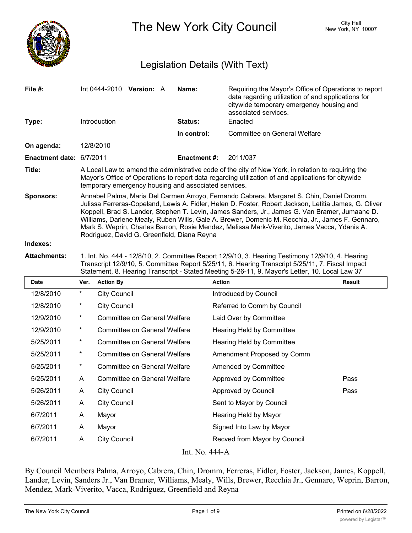

The New York City Council New York, NY 10007

# Legislation Details (With Text)

|                                                                                                                                                                                                                                                                                                                                                                                                                                                                                                                                                        |  |  | Name:                    | Requiring the Mayor's Office of Operations to report<br>data regarding utilization of and applications for<br>citywide temporary emergency housing and<br>associated services. |  |
|--------------------------------------------------------------------------------------------------------------------------------------------------------------------------------------------------------------------------------------------------------------------------------------------------------------------------------------------------------------------------------------------------------------------------------------------------------------------------------------------------------------------------------------------------------|--|--|--------------------------|--------------------------------------------------------------------------------------------------------------------------------------------------------------------------------|--|
| Introduction                                                                                                                                                                                                                                                                                                                                                                                                                                                                                                                                           |  |  | <b>Status:</b>           | Enacted                                                                                                                                                                        |  |
|                                                                                                                                                                                                                                                                                                                                                                                                                                                                                                                                                        |  |  | In control:              | Committee on General Welfare                                                                                                                                                   |  |
| 12/8/2010                                                                                                                                                                                                                                                                                                                                                                                                                                                                                                                                              |  |  |                          |                                                                                                                                                                                |  |
| Enactment date: 6/7/2011                                                                                                                                                                                                                                                                                                                                                                                                                                                                                                                               |  |  | Enactment #:             | 2011/037                                                                                                                                                                       |  |
| A Local Law to amend the administrative code of the city of New York, in relation to requiring the<br>Mayor's Office of Operations to report data regarding utilization of and applications for citywide<br>temporary emergency housing and associated services.                                                                                                                                                                                                                                                                                       |  |  |                          |                                                                                                                                                                                |  |
| Annabel Palma, Maria Del Carmen Arroyo, Fernando Cabrera, Margaret S. Chin, Daniel Dromm,<br>Julissa Ferreras-Copeland, Lewis A. Fidler, Helen D. Foster, Robert Jackson, Letitia James, G. Oliver<br>Koppell, Brad S. Lander, Stephen T. Levin, James Sanders, Jr., James G. Van Bramer, Jumaane D.<br>Williams, Darlene Mealy, Ruben Wills, Gale A. Brewer, Domenic M. Recchia, Jr., James F. Gennaro,<br>Mark S. Weprin, Charles Barron, Rosie Mendez, Melissa Mark-Viverito, James Vacca, Ydanis A.<br>Rodriguez, David G. Greenfield, Diana Reyna |  |  |                          |                                                                                                                                                                                |  |
|                                                                                                                                                                                                                                                                                                                                                                                                                                                                                                                                                        |  |  | Int 0444-2010 Version: A |                                                                                                                                                                                |  |

**Attachments:** 1. Int. No. 444 - 12/8/10, 2. Committee Report 12/9/10, 3. Hearing Testimony 12/9/10, 4. Hearing Transcript 12/9/10, 5. Committee Report 5/25/11, 6. Hearing Transcript 5/25/11, 7. Fiscal Impact Statement, 8. Hearing Transcript - Stated Meeting 5-26-11, 9. Mayor's Letter, 10. Local Law 37

| <b>Date</b>    | Ver.       | <b>Action By</b>                    | <b>Action</b>                | <b>Result</b> |  |  |  |  |
|----------------|------------|-------------------------------------|------------------------------|---------------|--|--|--|--|
| 12/8/2010      | $^{\star}$ | <b>City Council</b>                 | Introduced by Council        |               |  |  |  |  |
| 12/8/2010      | *          | <b>City Council</b>                 | Referred to Comm by Council  |               |  |  |  |  |
| 12/9/2010      | *          | Committee on General Welfare        | Laid Over by Committee       |               |  |  |  |  |
| 12/9/2010      | $\star$    | <b>Committee on General Welfare</b> | Hearing Held by Committee    |               |  |  |  |  |
| 5/25/2011      | *          | <b>Committee on General Welfare</b> | Hearing Held by Committee    |               |  |  |  |  |
| 5/25/2011      | $^{\star}$ | Committee on General Welfare        | Amendment Proposed by Comm   |               |  |  |  |  |
| 5/25/2011      | *          | <b>Committee on General Welfare</b> | Amended by Committee         |               |  |  |  |  |
| 5/25/2011      | A          | <b>Committee on General Welfare</b> | Approved by Committee        | Pass          |  |  |  |  |
| 5/26/2011      | A          | <b>City Council</b>                 | Approved by Council          | Pass          |  |  |  |  |
| 5/26/2011      | A          | <b>City Council</b>                 | Sent to Mayor by Council     |               |  |  |  |  |
| 6/7/2011       | A          | Mayor                               | Hearing Held by Mayor        |               |  |  |  |  |
| 6/7/2011       | A          | Mayor                               | Signed Into Law by Mayor     |               |  |  |  |  |
| 6/7/2011       | A          | <b>City Council</b>                 | Recved from Mayor by Council |               |  |  |  |  |
| Int. No. 444-A |            |                                     |                              |               |  |  |  |  |

By Council Members Palma, Arroyo, Cabrera, Chin, Dromm, Ferreras, Fidler, Foster, Jackson, James, Koppell, Lander, Levin, Sanders Jr., Van Bramer, Williams, Mealy, Wills, Brewer, Recchia Jr., Gennaro, Weprin, Barron, Mendez, Mark-Viverito, Vacca, Rodriguez, Greenfield and Reyna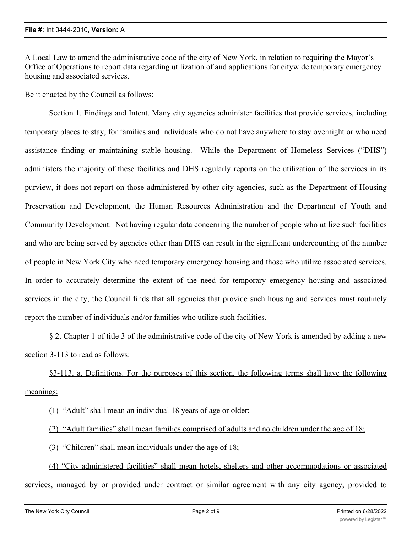A Local Law to amend the administrative code of the city of New York, in relation to requiring the Mayor's Office of Operations to report data regarding utilization of and applications for citywide temporary emergency housing and associated services.

## Be it enacted by the Council as follows:

Section 1. Findings and Intent. Many city agencies administer facilities that provide services, including temporary places to stay, for families and individuals who do not have anywhere to stay overnight or who need assistance finding or maintaining stable housing. While the Department of Homeless Services ("DHS") administers the majority of these facilities and DHS regularly reports on the utilization of the services in its purview, it does not report on those administered by other city agencies, such as the Department of Housing Preservation and Development, the Human Resources Administration and the Department of Youth and Community Development. Not having regular data concerning the number of people who utilize such facilities and who are being served by agencies other than DHS can result in the significant undercounting of the number of people in New York City who need temporary emergency housing and those who utilize associated services. In order to accurately determine the extent of the need for temporary emergency housing and associated services in the city, the Council finds that all agencies that provide such housing and services must routinely report the number of individuals and/or families who utilize such facilities.

§ 2. Chapter 1 of title 3 of the administrative code of the city of New York is amended by adding a new section 3-113 to read as follows:

§3-113. a. Definitions. For the purposes of this section, the following terms shall have the following meanings:

(1) "Adult" shall mean an individual 18 years of age or older;

(2) "Adult families" shall mean families comprised of adults and no children under the age of 18;

(3) "Children" shall mean individuals under the age of 18;

(4) "City-administered facilities" shall mean hotels, shelters and other accommodations or associated services, managed by or provided under contract or similar agreement with any city agency, provided to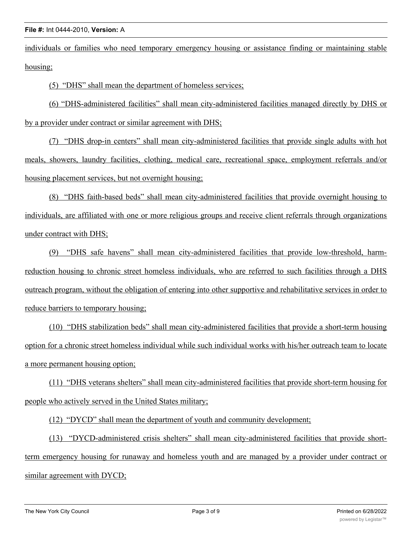individuals or families who need temporary emergency housing or assistance finding or maintaining stable housing;

(5) "DHS" shall mean the department of homeless services;

(6) "DHS-administered facilities" shall mean city-administered facilities managed directly by DHS or by a provider under contract or similar agreement with DHS;

(7) "DHS drop-in centers" shall mean city-administered facilities that provide single adults with hot meals, showers, laundry facilities, clothing, medical care, recreational space, employment referrals and/or housing placement services, but not overnight housing;

(8) "DHS faith-based beds" shall mean city-administered facilities that provide overnight housing to individuals, are affiliated with one or more religious groups and receive client referrals through organizations under contract with DHS;

(9) "DHS safe havens" shall mean city-administered facilities that provide low-threshold, harmreduction housing to chronic street homeless individuals, who are referred to such facilities through a DHS outreach program, without the obligation of entering into other supportive and rehabilitative services in order to reduce barriers to temporary housing;

(10) "DHS stabilization beds" shall mean city-administered facilities that provide a short-term housing option for a chronic street homeless individual while such individual works with his/her outreach team to locate a more permanent housing option;

(11) "DHS veterans shelters" shall mean city-administered facilities that provide short-term housing for people who actively served in the United States military;

(12) "DYCD" shall mean the department of youth and community development;

(13) "DYCD-administered crisis shelters" shall mean city-administered facilities that provide shortterm emergency housing for runaway and homeless youth and are managed by a provider under contract or similar agreement with DYCD;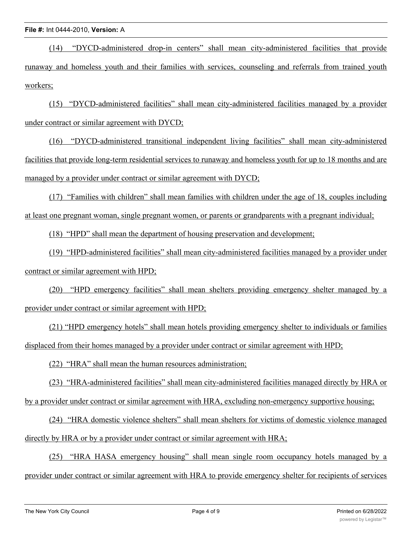(14) "DYCD-administered drop-in centers" shall mean city-administered facilities that provide runaway and homeless youth and their families with services, counseling and referrals from trained youth workers;

(15) "DYCD-administered facilities" shall mean city-administered facilities managed by a provider under contract or similar agreement with DYCD;

(16) "DYCD-administered transitional independent living facilities" shall mean city-administered facilities that provide long-term residential services to runaway and homeless youth for up to 18 months and are managed by a provider under contract or similar agreement with DYCD;

(17) "Families with children" shall mean families with children under the age of 18, couples including at least one pregnant woman, single pregnant women, or parents or grandparents with a pregnant individual;

(18) "HPD" shall mean the department of housing preservation and development;

(19) "HPD-administered facilities" shall mean city-administered facilities managed by a provider under contract or similar agreement with HPD;

(20) "HPD emergency facilities" shall mean shelters providing emergency shelter managed by a provider under contract or similar agreement with HPD;

(21) "HPD emergency hotels" shall mean hotels providing emergency shelter to individuals or families displaced from their homes managed by a provider under contract or similar agreement with HPD;

(22) "HRA" shall mean the human resources administration;

(23) "HRA-administered facilities" shall mean city-administered facilities managed directly by HRA or by a provider under contract or similar agreement with HRA, excluding non-emergency supportive housing;

(24) "HRA domestic violence shelters" shall mean shelters for victims of domestic violence managed directly by HRA or by a provider under contract or similar agreement with HRA;

(25) "HRA HASA emergency housing" shall mean single room occupancy hotels managed by a provider under contract or similar agreement with HRA to provide emergency shelter for recipients of services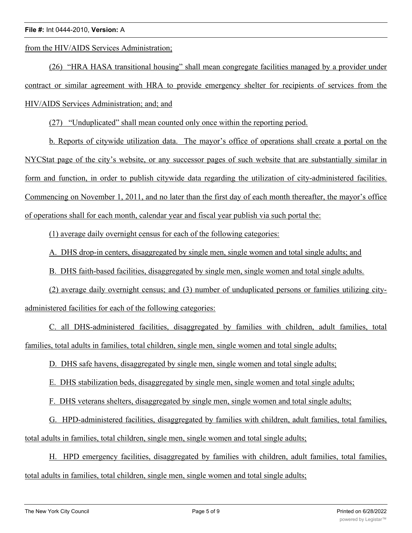from the HIV/AIDS Services Administration;

(26) "HRA HASA transitional housing" shall mean congregate facilities managed by a provider under contract or similar agreement with HRA to provide emergency shelter for recipients of services from the HIV/AIDS Services Administration; and; and

(27) "Unduplicated" shall mean counted only once within the reporting period.

b. Reports of citywide utilization data. The mayor's office of operations shall create a portal on the NYCStat page of the city's website, or any successor pages of such website that are substantially similar in form and function, in order to publish citywide data regarding the utilization of city-administered facilities. Commencing on November 1, 2011, and no later than the first day of each month thereafter, the mayor's office of operations shall for each month, calendar year and fiscal year publish via such portal the:

(1) average daily overnight census for each of the following categories:

A. DHS drop-in centers, disaggregated by single men, single women and total single adults; and

B. DHS faith-based facilities, disaggregated by single men, single women and total single adults.

(2) average daily overnight census; and (3) number of unduplicated persons or families utilizing cityadministered facilities for each of the following categories:

C. all DHS-administered facilities, disaggregated by families with children, adult families, total families, total adults in families, total children, single men, single women and total single adults;

D. DHS safe havens, disaggregated by single men, single women and total single adults;

E. DHS stabilization beds, disaggregated by single men, single women and total single adults;

F. DHS veterans shelters, disaggregated by single men, single women and total single adults;

G. HPD-administered facilities, disaggregated by families with children, adult families, total families, total adults in families, total children, single men, single women and total single adults;

H. HPD emergency facilities, disaggregated by families with children, adult families, total families, total adults in families, total children, single men, single women and total single adults;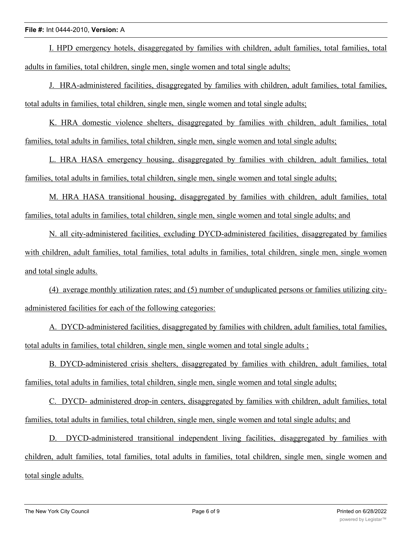### **File #:** Int 0444-2010, **Version:** A

I. HPD emergency hotels, disaggregated by families with children, adult families, total families, total adults in families, total children, single men, single women and total single adults;

J. HRA-administered facilities, disaggregated by families with children, adult families, total families, total adults in families, total children, single men, single women and total single adults;

K. HRA domestic violence shelters, disaggregated by families with children, adult families, total families, total adults in families, total children, single men, single women and total single adults;

L. HRA HASA emergency housing, disaggregated by families with children, adult families, total families, total adults in families, total children, single men, single women and total single adults;

M. HRA HASA transitional housing, disaggregated by families with children, adult families, total families, total adults in families, total children, single men, single women and total single adults; and

N. all city-administered facilities, excluding DYCD-administered facilities, disaggregated by families with children, adult families, total families, total adults in families, total children, single men, single women and total single adults.

(4) average monthly utilization rates; and (5) number of unduplicated persons or families utilizing cityadministered facilities for each of the following categories:

A. DYCD-administered facilities, disaggregated by families with children, adult families, total families, total adults in families, total children, single men, single women and total single adults ;

B. DYCD-administered crisis shelters, disaggregated by families with children, adult families, total families, total adults in families, total children, single men, single women and total single adults;

C. DYCD- administered drop-in centers, disaggregated by families with children, adult families, total families, total adults in families, total children, single men, single women and total single adults; and

D. DYCD-administered transitional independent living facilities, disaggregated by families with children, adult families, total families, total adults in families, total children, single men, single women and total single adults.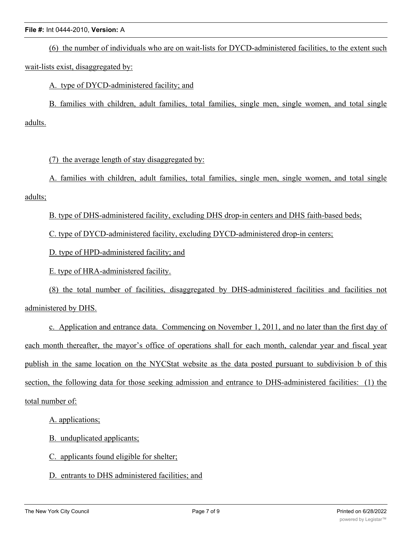### **File #:** Int 0444-2010, **Version:** A

(6) the number of individuals who are on wait-lists for DYCD-administered facilities, to the extent such wait-lists exist, disaggregated by:

A. type of DYCD-administered facility; and

B. families with children, adult families, total families, single men, single women, and total single adults.

(7) the average length of stay disaggregated by:

A. families with children, adult families, total families, single men, single women, and total single adults;

B. type of DHS-administered facility, excluding DHS drop-in centers and DHS faith-based beds;

C. type of DYCD-administered facility, excluding DYCD-administered drop-in centers;

D. type of HPD-administered facility; and

E. type of HRA-administered facility.

(8) the total number of facilities, disaggregated by DHS-administered facilities and facilities not administered by DHS.

c. Application and entrance data. Commencing on November 1, 2011, and no later than the first day of each month thereafter, the mayor's office of operations shall for each month, calendar year and fiscal year publish in the same location on the NYCStat website as the data posted pursuant to subdivision b of this section, the following data for those seeking admission and entrance to DHS-administered facilities: (1) the total number of:

A. applications;

B. unduplicated applicants;

C. applicants found eligible for shelter;

D. entrants to DHS administered facilities; and